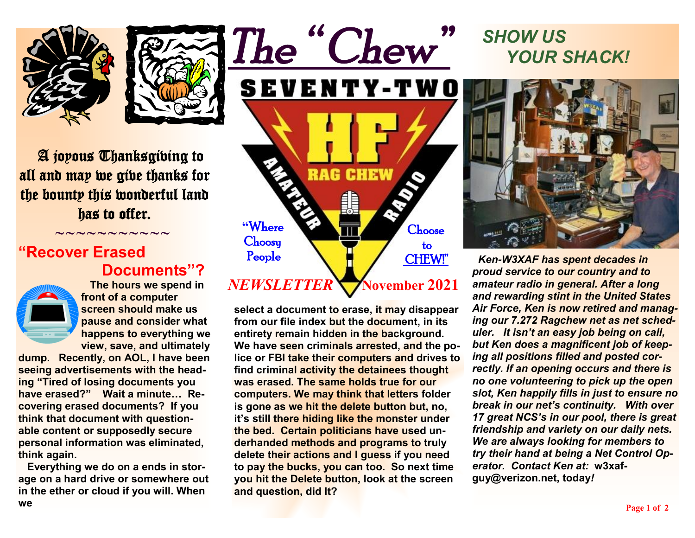



 A joyous Thanksgiving to all and may we give thanks for the bounty this wonderful land has to offer.

 $\sim\sim\sim\sim\sim\sim\sim$ 

#### **"Recover Erased Documents"?**



 **The hours we spend in front of a computer screen should make us pause and consider what happens to everything we view, save, and ultimately** 

**dump. Recently, on AOL, I have been seeing advertisements with the heading "Tired of losing documents you have erased?" Wait a minute… Recovering erased documents? If you think that document with questionable content or supposedly secure personal information was eliminated, think again.** 

 **Everything we do on a ends in storage on a hard drive or somewhere out in the ether or cloud if you will. When we** 



**select a document to erase, it may disappear from our file index but the document, in its entirety remain hidden in the background. We have seen criminals arrested, and the police or FBI take their computers and drives to find criminal activity the detainees thought was erased. The same holds true for our computers. We may think that letters folder is gone as we hit the delete button but, no, it's still there hiding like the monster under the bed. Certain politicians have used underhanded methods and programs to truly delete their actions and I guess if you need to pay the bucks, you can too. So next time you hit the Delete button, look at the screen and question, did It?** 

# *SHOW US YOUR SHACK!*



 *Ken-W3XAF has spent decades in proud service to our country and to amateur radio in general. After a long and rewarding stint in the United States Air Force, Ken is now retired and managing our 7.272 Ragchew net as net scheduler. It isn't an easy job being on call, but Ken does a magnificent job of keeping all positions filled and posted correctly. If an opening occurs and there is no one volunteering to pick up the open slot, Ken happily fills in just to ensure no break in our net's continuity. With over 17 great NCS's in our pool, there is great friendship and variety on our daily nets. We are always looking for members to try their hand at being a Net Control Operator. Contact Ken at:* **w3xaf[guy@verizon.net](mailto:guy@verizon.net), today***!*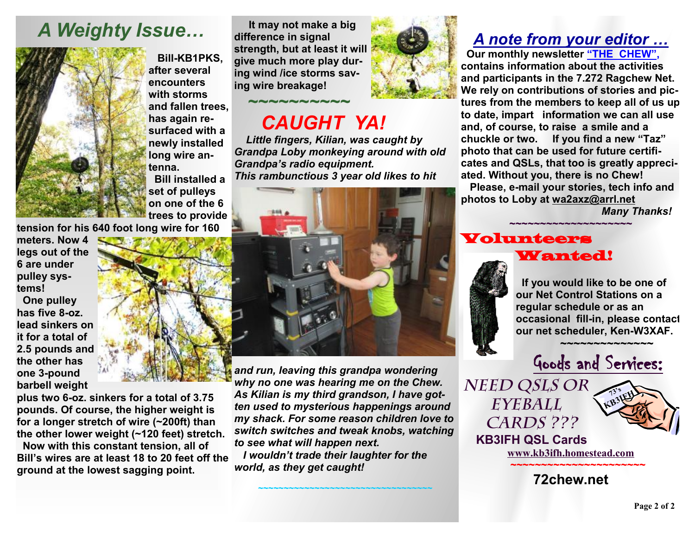## *A Weighty Issue…*



 **Bill-KB1PKS, after several encounters with storms and fallen trees, has again resurfaced with a newly installed long wire antenna.** 

 **Bill installed a set of pulleys on one of the 6 trees to provide** 

**tension for his 640 foot long wire for 160** 

**meters. Now 4 legs out of the 6 are under pulley systems!** 

 **One pulley has five 8-oz. lead sinkers on it for a total of 2.5 pounds and the other has one 3-pound barbell weight** 

**plus two 6-oz. sinkers for a total of 3.75 pounds. Of course, the higher weight is for a longer stretch of wire (~200ft) than the other lower weight (~120 feet) stretch.** 

*to see what will happen next. world, as they get caught!*  **Now with this constant tension, all of Bill's wires are at least 18 to 20 feet off the ground at the lowest sagging point.** 

**It may not make <sup>a</sup> big difference in signal strength, but at least it will give much more play during wind /ice storms saving wire breakage!** 

## *~~~~~~~~~~ CAUGHT YA!*

 *Little fingers, Kilian, was caught by Grandpa Loby monkeying around with old Grandpa's radio equipment. This rambunctious 3 year old likes to hit* 

*and run, leaving this grandpa wondering why no one was hearing me on the Chew. As Kilian is my third grandson, I have gotten used to mysterious happenings around my shack. For some reason children love to switch switches and tweak knobs, watching* 

 *I wouldn't trade their laughter for the* 

*~~~~~~~~~~~~~~~~~~~~~~~~~~~~~~~~~~* 



### *A note from your editor …*

 **Our monthly newsletter "THE CHEW", contains information about the activities and participants in the 7.272 Ragchew Net. We rely on contributions of stories and pictures from the members to keep all of us up to date, impart information we can all use and, of course, to raise a smile and a chuckle or two. If you find a new "Taz" photo that can be used for future certificates and QSLs, that too is greatly appreciated. Without you, there is no Chew! Please, e-mail your stories, tech info and photos to Loby at [wa2axz@arrl.net](mailto:wa2axz@arrl.net)** 

**~~~~~~~~~~~~~~~~~~~~**

*Many Thanks!* 

#### Volunteers Wanted!



 **If you would like to be one of our Net Control Stations on a regular schedule or as an occasional fill-in, please contact our net scheduler, Ken-W3XAF.**



*Need QSLs or Eyeball Cards ???* 



 **KB3IFH QSL Cards [www.kb3ifh.homestead.com](http://www.kb3ifh.homestead.com) ~~~~~~~~~~~~~~~~~~~~~~** 

**72chew.net**